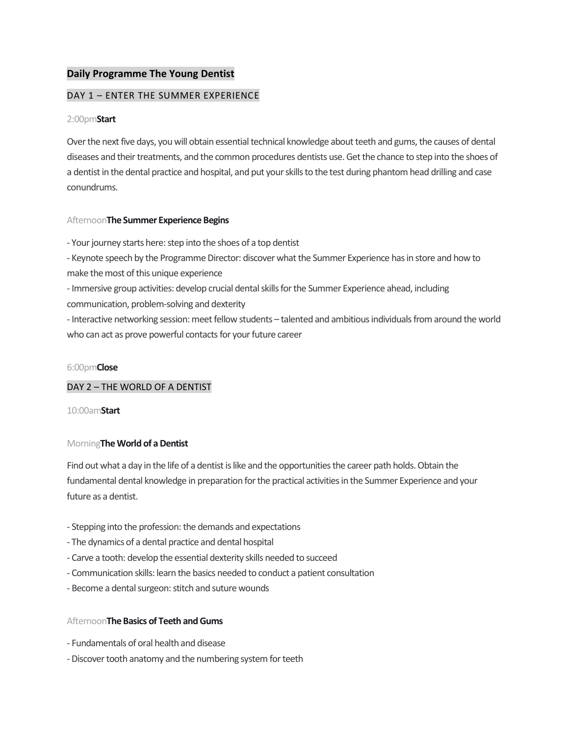# **Daily Programme The Young Dentist**

## DAY 1 – ENTER THE SUMMER EXPERIENCE

#### 2:00pm**Start**

Over the next five days, you will obtain essential technical knowledge about teeth and gums, the causes of dental diseases and their treatments, and the common procedures dentists use. Get the chance to step into the shoes of a dentist in the dental practice and hospital, and put your skills to the test during phantom head drilling and case conundrums.

### Afternoon**The Summer Experience Begins**

- Your journey starts here: step into the shoes of a top dentist

- Keynote speech by the Programme Director: discover what the Summer Experience has in store and how to make the most of this unique experience

- Immersive group activities: develop crucial dental skills for the Summer Experience ahead, including communication, problem-solving and dexterity

- Interactive networking session: meet fellow students – talented and ambitious individuals from around the world who can act as prove powerful contacts for your future career

#### 6:00pm**Close**

### DAY 2 – THE WORLD OF A DENTIST

10:00am**Start**

### Morning**The World of a Dentist**

Find out what a day in the life of a dentist is like and the opportunities the career path holds. Obtain the fundamental dental knowledge in preparation for the practical activities in the Summer Experience and your future as a dentist.

- Stepping into the profession: the demands and expectations
- The dynamics of a dental practice and dental hospital
- Carve a tooth: develop the essential dexterity skills needed to succeed
- Communication skills: learn the basics needed to conduct a patient consultation
- Become a dental surgeon: stitch and suture wounds

### Afternoon**The Basics of Teeth and Gums**

- Fundamentals of oral health and disease
- -Discover tooth anatomy and the numbering system for teeth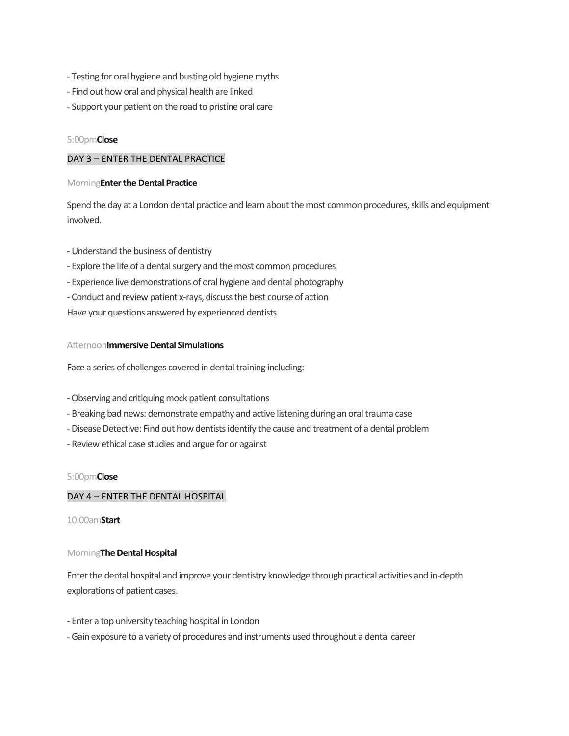- Testing for oral hygiene and busting old hygiene myths
- Find out how oral and physical health are linked
- Support your patient on the road to pristine oral care

## 5:00pm**Close**

## DAY 3 – ENTER THE DENTAL PRACTICE

## Morning**Enter the Dental Practice**

Spend the day at a London dental practice and learn about the most common procedures, skills and equipment involved.

- Understand the business of dentistry
- Explore the life of a dental surgery and the most common procedures
- Experience live demonstrations of oral hygiene and dental photography
- Conduct and review patient x-rays, discuss the best course of action
- Have your questions answered by experienced dentists

## Afternoon**Immersive Dental Simulations**

Face a series of challenges covered in dental training including:

- -Observing and critiquing mock patient consultations
- Breaking bad news: demonstrate empathy and active listening during an oral trauma case
- -Disease Detective: Find out how dentists identify the cause and treatment of a dental problem
- Review ethical case studies and argue for or against

### 5:00pm**Close**

## DAY 4 – ENTER THE DENTAL HOSPITAL

10:00am**Start**

### Morning**The Dental Hospital**

Enter the dental hospital and improve your dentistry knowledge through practical activities and in-depth explorations of patient cases.

- Enter a top university teaching hospital in London
- Gain exposure to a variety of procedures and instruments used throughout a dental career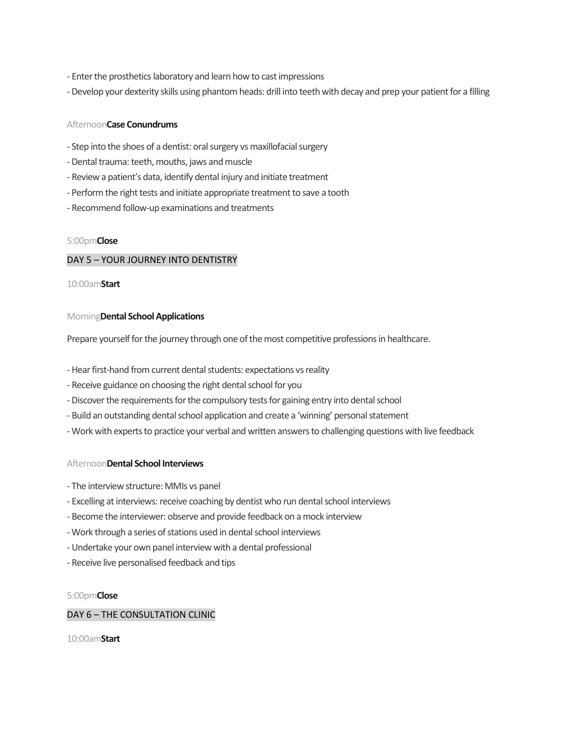- Enter the prosthetics laboratory and learn how to cast impressions
- -Develop your dexterity skills using phantom heads: drill into teeth with decay and prep your patient for a filling

### Afternoon**Case Conundrums**

- Step into the shoes of a dentist: oral surgery vs maxillofacial surgery
- -Dental trauma: teeth, mouths, jaws and muscle
- Review a patient's data, identify dental injury and initiate treatment
- Perform the right tests and initiate appropriate treatment to save a tooth
- Recommend follow-up examinations and treatments

### 5:00pm**Close**

## DAY 5 – YOUR JOURNEY INTO DENTISTRY

10:00am**Start**

### Morning**Dental School Applications**

Prepare yourself for the journey through one of the most competitive professions in healthcare.

- Hear first-hand from current dental students: expectations vs reality
- Receive guidance on choosing the right dental school for you
- -Discover the requirements for the compulsory tests for gaining entry into dental school
- Build an outstanding dental school application and create a 'winning' personal statement
- Work with experts to practice your verbal and written answers to challenging questions with live feedback

### Afternoon**Dental School Interviews**

- The interview structure: MMIs vs panel
- Excelling at interviews: receive coaching by dentist who run dental school interviews
- Become the interviewer: observe and provide feedback on a mock interview
- Work through a series of stations used in dental school interviews
- Undertake your own panel interview with a dental professional
- Receive live personalised feedback and tips

### 5:00pm**Close**

## DAY 6 – THE CONSULTATION CLINIC

10:00am**Start**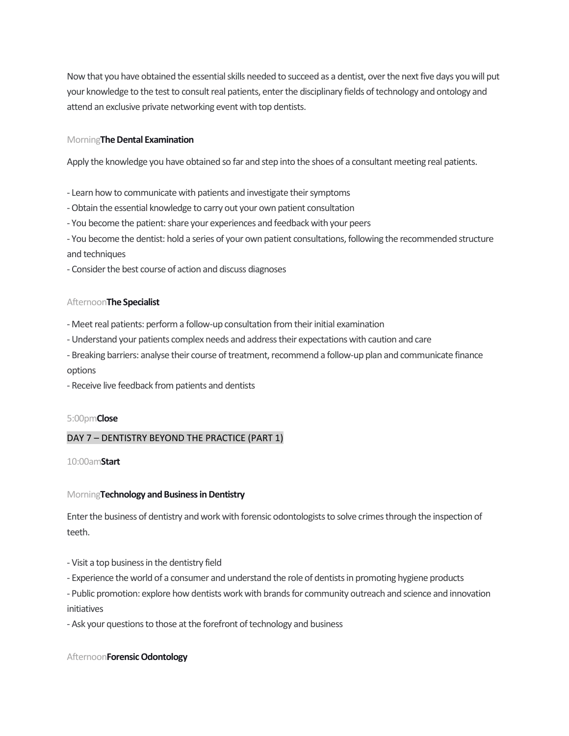Now that you have obtained the essential skills needed to succeed as a dentist, over the next five days you will put your knowledge to the test to consult real patients, enter the disciplinary fields of technology and ontology and attend an exclusive private networking event with top dentists.

### Morning**The Dental Examination**

Apply the knowledge you have obtained so far and step into the shoes of a consultant meeting real patients.

- Learn how to communicate with patients and investigate their symptoms
- -Obtain the essential knowledge to carry out your own patient consultation
- You become the patient: share your experiences and feedback with your peers
- You become the dentist: hold a series of your own patient consultations, following the recommended structure and techniques
- Consider the best course of action and discuss diagnoses

## Afternoon**The Specialist**

- Meet real patients: performa follow-up consultation from their initial examination
- Understand your patients complex needs and address their expectations with caution and care
- Breaking barriers: analyse their course of treatment, recommend a follow-up plan and communicate finance options
- Receive live feedback from patients and dentists

### 5:00pm**Close**

# DAY 7 – DENTISTRY BEYOND THE PRACTICE (PART 1)

10:00am**Start**

## Morning**Technology and Business in Dentistry**

Enter the business of dentistry and work with forensic odontologists to solve crimes through the inspection of teeth.

- Visit a top business in the dentistry field
- Experience the world of a consumer and understand the role of dentists in promoting hygiene products
- Public promotion: explore how dentists work with brands for community outreach and science and innovation initiatives
- Ask your questions to those at the forefront of technology and business

## Afternoon**Forensic Odontology**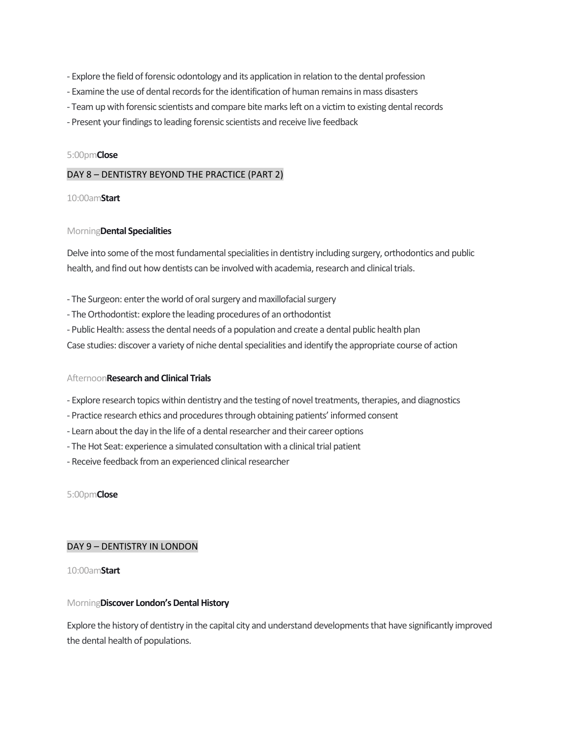- Explore the field of forensic odontology and its application in relation to the dental profession
- Examine the use of dental records for the identification of human remains in mass disasters
- Team up with forensic scientists and compare bite marks left on a victim to existing dental records
- Present your findings to leading forensic scientists and receive live feedback

#### 5:00pm**Close**

### DAY 8 – DENTISTRY BEYOND THE PRACTICE (PART 2)

#### 10:00am**Start**

#### Morning**Dental Specialities**

Delve into some of the most fundamental specialities in dentistry including surgery, orthodontics and public health, and find out how dentists can be involved with academia, research and clinical trials.

- The Surgeon: enter the world of oral surgery and maxillofacial surgery
- The Orthodontist: explore the leading procedures of an orthodontist
- Public Health: assess the dental needs of a population and create a dental public health plan

Case studies: discover a variety of niche dental specialities and identify the appropriate course of action

### Afternoon**Research and Clinical Trials**

- Explore research topics within dentistry and the testing of novel treatments, therapies, and diagnostics
- Practice research ethics and procedures through obtaining patients' informed consent
- Learn about the day in the life of a dental researcher and their career options
- The Hot Seat: experience a simulated consultation with a clinical trial patient
- Receive feedback from an experienced clinical researcher

5:00pm**Close**

### DAY 9 – DENTISTRY IN LONDON

### 10:00am**Start**

### Morning**Discover London's Dental History**

Explore the history of dentistry in the capital city and understand developments that have significantly improved the dental health of populations.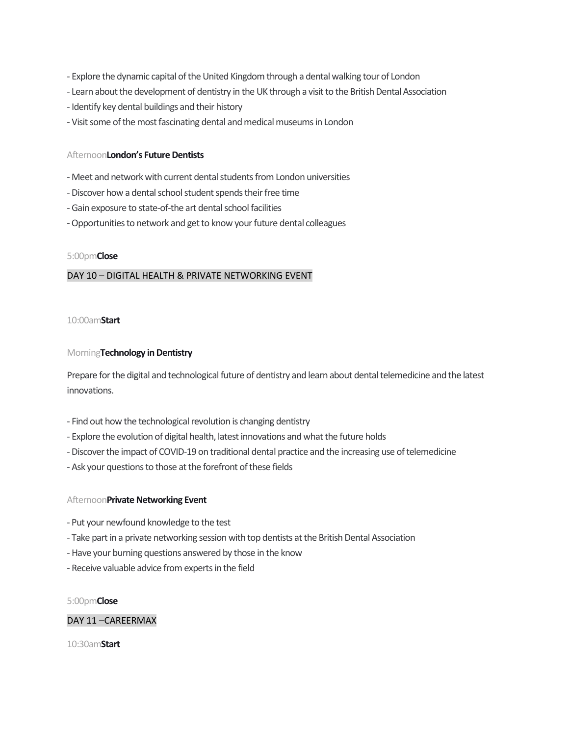- Explore the dynamic capital of the United Kingdom through a dental walking tour of London
- Learn about the development of dentistry in the UK through a visit to the British Dental Association
- Identify key dental buildings and their history
- Visit some of the most fascinating dental and medical museums in London

#### Afternoon**London's Future Dentists**

- Meet and network with current dental students from London universities
- -Discover how a dental school student spends their free time
- Gain exposure to state-of-the art dental school facilities
- -Opportunities to network and get to know your future dental colleagues

### 5:00pm**Close**

### DAY 10 – DIGITAL HEALTH & PRIVATE NETWORKING EVENT

#### 10:00am**Start**

#### Morning**Technology in Dentistry**

Prepare for the digital and technological future of dentistry and learn about dental telemedicine and the latest innovations.

- Find out how the technological revolution is changing dentistry
- Explore the evolution of digital health, latest innovations and what the future holds
- -Discover the impact of COVID-19 on traditional dental practice and the increasing use of telemedicine
- Ask your questions to those at the forefront of these fields

### Afternoon**Private Networking Event**

- Put your newfound knowledge to the test
- Take part in a private networking session with top dentists at the British Dental Association
- Have your burning questions answered by those in the know
- Receive valuable advice from experts in the field

#### 5:00pm**Close**

## DAY 11 –CAREERMAX

10:30am**Start**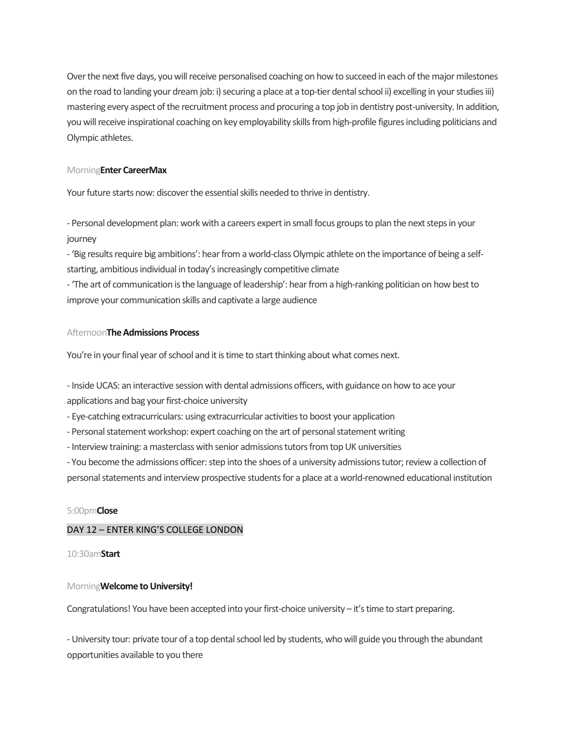Over the next five days, you will receive personalised coaching on how to succeed in each of the major milestones on the road to landing your dream job: i) securing a place at a top-tier dental school ii) excelling in your studies iii) mastering every aspect of the recruitment process and procuring a top job in dentistry post-university. In addition, you will receive inspirational coaching on key employability skills from high-profile figures including politicians and Olympic athletes.

#### Morning**Enter CareerMax**

Your future starts now: discover the essential skills needed to thrive in dentistry.

- Personal development plan: work with a careers expert in small focus groups to plan the next steps in your journey

- 'Big results require big ambitions': hear from a world-class Olympic athlete on the importance of being a selfstarting, ambitious individual in today's increasingly competitive climate

- 'The art of communication is the language of leadership': hear from a high-ranking politician on how best to improve your communication skills and captivate a large audience

## Afternoon**The Admissions Process**

You're in your final year of school and it is time to start thinking about what comes next.

- Inside UCAS: an interactive session with dental admissions officers, with guidance on how to ace your applications and bag your first-choice university

- Eye-catching extracurriculars: using extracurricular activities to boost your application

- Personal statement workshop: expert coaching on the art of personal statement writing

- Interview training: a masterclass with senior admissions tutors from top UK universities

- You become the admissions officer: step into the shoes of a university admissions tutor; review a collection of

personal statements and interview prospective students for a place at a world-renowned educational institution

### 5:00pm**Close**

## DAY 12 – ENTER KING'S COLLEGE LONDON

10:30am**Start**

### Morning**Welcome to University!**

Congratulations! You have been accepted into your first-choice university – it's time to start preparing.

- University tour: private tour of a top dental school led by students, who will guide you through the abundant opportunities available to you there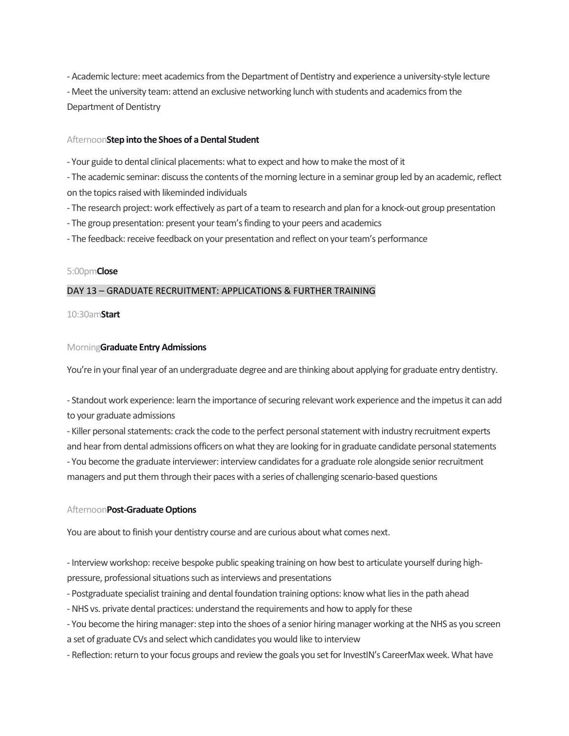- Academic lecture: meet academics from the Department of Dentistry and experience a university-style lecture - Meet the university team: attend an exclusive networking lunch with students and academics from the Department of Dentistry

### Afternoon**Step into the Shoes of a Dental Student**

- Your guide to dental clinical placements: what to expect and how to make the most of it

- The academic seminar: discuss the contents of the morning lecture in a seminar group led by an academic, reflect on the topics raised with likeminded individuals

- The research project: work effectively as part of a team to research and plan for a knock-out group presentation

- The group presentation: present your team's finding to your peers and academics

- The feedback: receive feedback on your presentation and reflect on your team's performance

### 5:00pm**Close**

## DAY 13 – GRADUATE RECRUITMENT: APPLICATIONS & FURTHER TRAINING

#### 10:30am**Start**

#### Morning**Graduate Entry Admissions**

You're in your final year of an undergraduate degree and are thinking about applying for graduate entry dentistry.

- Standout work experience: learn the importance of securing relevant work experience and the impetus it can add to your graduate admissions

- Killer personal statements: crack the code to the perfect personal statement with industry recruitment experts and hear from dental admissions officers on what they are looking for in graduate candidate personal statements - You become the graduate interviewer: interview candidates for a graduate role alongside senior recruitment managers and put them through their paces with a series of challenging scenario-based questions

### Afternoon**Post-Graduate Options**

You are about to finish your dentistry course and are curious about what comes next.

- Interview workshop: receive bespoke public speaking training on how best to articulate yourself during highpressure, professional situations such as interviews and presentations

- Postgraduate specialist training and dental foundation training options: know what lies in the path ahead

- -NHS vs. private dental practices: understand the requirements and how to apply for these
- You become the hiring manager: step into the shoes of a senior hiring manager working at the NHS as you screen a set of graduate CVs and select which candidates you would like to interview

- Reflection: return to your focus groups and review the goals you set for InvestIN's CareerMax week. What have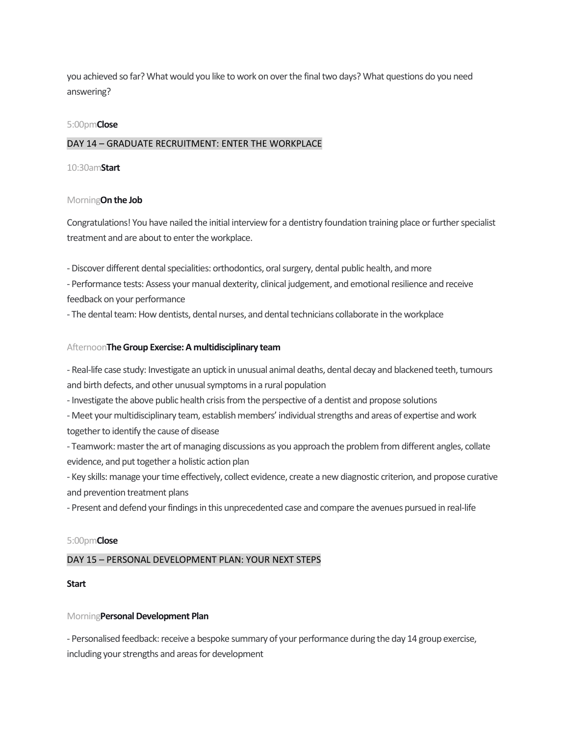you achieved so far? What would you like to work on over the final two days? What questions do you need answering?

#### 5:00pm**Close**

## DAY 14 – GRADUATE RECRUITMENT: ENTER THE WORKPLACE

#### 10:30am**Start**

#### Morning**On the Job**

Congratulations! You have nailed the initial interview for a dentistry foundation training place or further specialist treatment and are about to enter the workplace.

-Discover different dental specialities: orthodontics, oral surgery, dental public health, and more

- Performance tests: Assess your manual dexterity, clinical judgement, and emotional resilience and receive feedback on your performance

- The dental team: How dentists, dental nurses, and dental technicians collaborate in the workplace

#### Afternoon**The Group Exercise: A multidisciplinary team**

- Real-life case study: Investigate an uptick in unusual animal deaths, dental decay and blackened teeth, tumours and birth defects, and other unusual symptoms in a rural population

- Investigate the above public health crisis from the perspective of a dentist and propose solutions

- Meet your multidisciplinary team, establish members' individual strengths and areas of expertise and work together to identify the cause of disease

- Teamwork: master the art of managing discussions as you approach the problem from different angles, collate evidence, and put together a holistic action plan

- Key skills: manage your time effectively, collect evidence, create a new diagnostic criterion, and propose curative and prevention treatment plans

- Present and defend your findings in this unprecedented case and compare the avenues pursued in real-life

#### 5:00pm**Close**

### DAY 15 – PERSONAL DEVELOPMENT PLAN: YOUR NEXT STEPS

#### **Start**

#### Morning**Personal Development Plan**

- Personalised feedback: receive a bespoke summary of your performance during the day 14 group exercise, including your strengths and areas for development